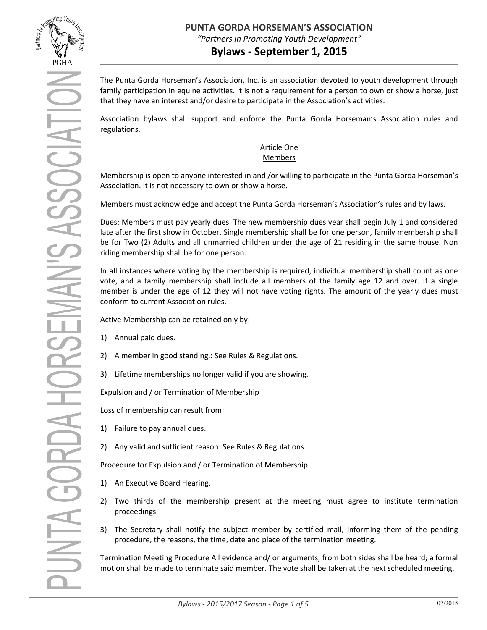

# **Bylaws - September 1, 2015**

The Punta Gorda Horseman's Association, Inc. is an association devoted to youth development through family participation in equine activities. It is not a requirement for a person to own or show a horse, just that they have an interest and/or desire to participate in the Association's activities.

Association bylaws shall support and enforce the Punta Gorda Horseman's Association rules and regulations.

## Article One Members

Membership is open to anyone interested in and /or willing to participate in the Punta Gorda Horseman's Association. It is not necessary to own or show a horse.

Members must acknowledge and accept the Punta Gorda Horseman's Association's rules and by laws.

Dues: Members must pay yearly dues. The new membership dues year shall begin July 1 and considered late after the first show in October. Single membership shall be for one person, family membership shall be for Two (2) Adults and all unmarried children under the age of 21 residing in the same house. Non riding membership shall be for one person.

In all instances where voting by the membership is required, individual membership shall count as one vote, and a family membership shall include all members of the family age 12 and over. If a single member is under the age of 12 they will not have voting rights. The amount of the yearly dues must conform to current Association rules.

Active Membership can be retained only by:

- 1) Annual paid dues.
- 2) A member in good standing.: See Rules & Regulations.
- 3) Lifetime memberships no longer valid if you are showing.

Expulsion and / or Termination of Membership

Loss of membership can result from:

- 1) Failure to pay annual dues.
- 2) Any valid and sufficient reason: See Rules & Regulations.

Procedure for Expulsion and / or Termination of Membership

- 1) An Executive Board Hearing.
- 2) Two thirds of the membership present at the meeting must agree to institute termination proceedings.
- 3) The Secretary shall notify the subject member by certified mail, informing them of the pending procedure, the reasons, the time, date and place of the termination meeting.

Termination Meeting Procedure All evidence and/ or arguments, from both sides shall be heard; a formal motion shall be made to terminate said member. The vote shall be taken at the next scheduled meeting.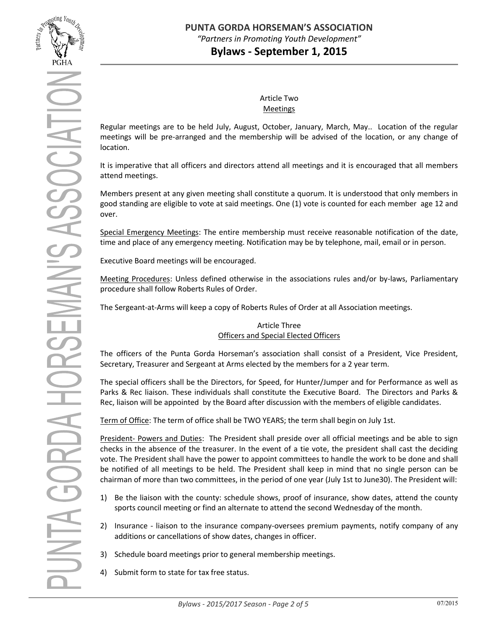

## Article Two Meetings

Regular meetings are to be held July, August, October, January, March, May.. Location of the regular meetings will be pre-arranged and the membership will be advised of the location, or any change of location.

It is imperative that all officers and directors attend all meetings and it is encouraged that all members attend meetings.

Members present at any given meeting shall constitute a quorum. It is understood that only members in good standing are eligible to vote at said meetings. One (1) vote is counted for each member age 12 and over.

Special Emergency Meetings: The entire membership must receive reasonable notification of the date, time and place of any emergency meeting. Notification may be by telephone, mail, email or in person.

Executive Board meetings will be encouraged.

Meeting Procedures: Unless defined otherwise in the associations rules and/or by-laws, Parliamentary procedure shall follow Roberts Rules of Order.

The Sergeant-at-Arms will keep a copy of Roberts Rules of Order at all Association meetings.

## Article Three Officers and Special Elected Officers

The officers of the Punta Gorda Horseman's association shall consist of a President, Vice President, Secretary, Treasurer and Sergeant at Arms elected by the members for a 2 year term.

The special officers shall be the Directors, for Speed, for Hunter/Jumper and for Performance as well as Parks & Rec liaison. These individuals shall constitute the Executive Board. The Directors and Parks & Rec, liaison will be appointed by the Board after discussion with the members of eligible candidates.

Term of Office: The term of office shall be TWO YEARS; the term shall begin on July 1st.

President- Powers and Duties: The President shall preside over all official meetings and be able to sign checks in the absence of the treasurer. In the event of a tie vote, the president shall cast the deciding vote. The President shall have the power to appoint committees to handle the work to be done and shall be notified of all meetings to be held. The President shall keep in mind that no single person can be chairman of more than two committees, in the period of one year (July 1st to June30). The President will:

- 1) Be the liaison with the county: schedule shows, proof of insurance, show dates, attend the county sports council meeting or find an alternate to attend the second Wednesday of the month.
- 2) Insurance liaison to the insurance company-oversees premium payments, notify company of any additions or cancellations of show dates, changes in officer.
- 3) Schedule board meetings prior to general membership meetings.
- 4) Submit form to state for tax free status.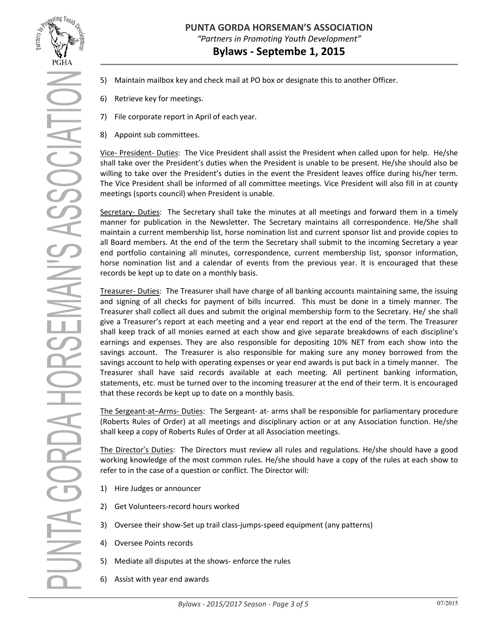

UNTA GORDA HORSEMAN'S ASSOCIATI

- 5) Maintain mailbox key and check mail at PO box or designate this to another Officer.
- 6) Retrieve key for meetings.
- 7) File corporate report in April of each year.
- 8) Appoint sub committees.

Vice- President- Duties: The Vice President shall assist the President when called upon for help. He/she shall take over the President's duties when the President is unable to be present. He/she should also be willing to take over the President's duties in the event the President leaves office during his/her term. The Vice President shall be informed of all committee meetings. Vice President will also fill in at county meetings (sports council) when President is unable.

Secretary- Duties: The Secretary shall take the minutes at all meetings and forward them in a timely manner for publication in the Newsletter. The Secretary maintains all correspondence. He/She shall maintain a current membership list, horse nomination list and current sponsor list and provide copies to all Board members. At the end of the term the Secretary shall submit to the incoming Secretary a year end portfolio containing all minutes, correspondence, current membership list, sponsor information, horse nomination list and a calendar of events from the previous year. It is encouraged that these records be kept up to date on a monthly basis.

Treasurer- Duties: The Treasurer shall have charge of all banking accounts maintaining same, the issuing and signing of all checks for payment of bills incurred. This must be done in a timely manner. The Treasurer shall collect all dues and submit the original membership form to the Secretary. He/ she shall give a Treasurer's report at each meeting and a year end report at the end of the term. The Treasurer shall keep track of all monies earned at each show and give separate breakdowns of each discipline's earnings and expenses. They are also responsible for depositing 10% NET from each show into the savings account. The Treasurer is also responsible for making sure any money borrowed from the savings account to help with operating expenses or year end awards is put back in a timely manner. The Treasurer shall have said records available at each meeting. All pertinent banking information, statements, etc. must be turned over to the incoming treasurer at the end of their term. It is encouraged that these records be kept up to date on a monthly basis.

The Sergeant-at–Arms- Duties: The Sergeant- at- arms shall be responsible for parliamentary procedure (Roberts Rules of Order) at all meetings and disciplinary action or at any Association function. He/she shall keep a copy of Roberts Rules of Order at all Association meetings.

The Director's Duties: The Directors must review all rules and regulations. He/she should have a good working knowledge of the most common rules. He/she should have a copy of the rules at each show to refer to in the case of a question or conflict. The Director will:

- 1) Hire Judges or announcer
- 2) Get Volunteers-record hours worked
- 3) Oversee their show-Set up trail class-jumps-speed equipment (any patterns)
- 4) Oversee Points records
- 5) Mediate all disputes at the shows- enforce the rules
- 6) Assist with year end awards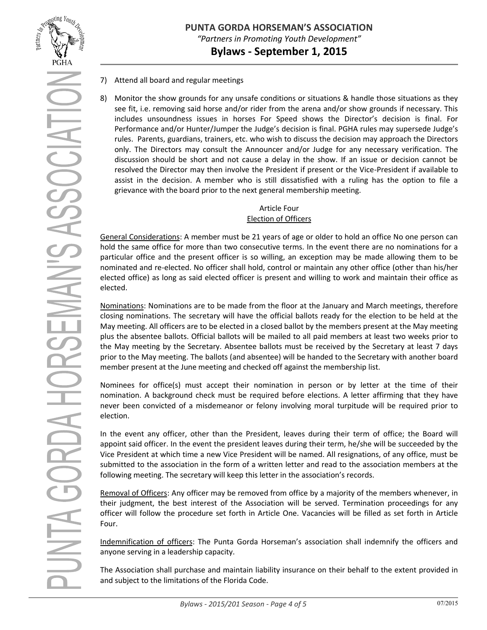

# **PUNTA GORDA HORSEMAN'S ASSOCIATION** *"Partners in Promoting Youth Development"* **Bylaws - September 1, 2015**

- 7) Attend all board and regular meetings
- 8) Monitor the show grounds for any unsafe conditions or situations & handle those situations as they see fit, i.e. removing said horse and/or rider from the arena and/or show grounds if necessary. This includes unsoundness issues in horses For Speed shows the Director's decision is final. For Performance and/or Hunter/Jumper the Judge's decision is final. PGHA rules may supersede Judge's rules. Parents, guardians, trainers, etc. who wish to discuss the decision may approach the Directors only. The Directors may consult the Announcer and/or Judge for any necessary verification. The discussion should be short and not cause a delay in the show. If an issue or decision cannot be resolved the Director may then involve the President if present or the Vice-President if available to assist in the decision. A member who is still dissatisfied with a ruling has the option to file a grievance with the board prior to the next general membership meeting.

# Article Four Election of Officers

General Considerations: A member must be 21 years of age or older to hold an office No one person can hold the same office for more than two consecutive terms. In the event there are no nominations for a particular office and the present officer is so willing, an exception may be made allowing them to be nominated and re-elected. No officer shall hold, control or maintain any other office (other than his/her elected office) as long as said elected officer is present and willing to work and maintain their office as elected.

Nominations: Nominations are to be made from the floor at the January and March meetings, therefore closing nominations. The secretary will have the official ballots ready for the election to be held at the May meeting. All officers are to be elected in a closed ballot by the members present at the May meeting plus the absentee ballots. Official ballots will be mailed to all paid members at least two weeks prior to the May meeting by the Secretary. Absentee ballots must be received by the Secretary at least 7 days prior to the May meeting. The ballots (and absentee) will be handed to the Secretary with another board member present at the June meeting and checked off against the membership list.

Nominees for office(s) must accept their nomination in person or by letter at the time of their nomination. A background check must be required before elections. A letter affirming that they have never been convicted of a misdemeanor or felony involving moral turpitude will be required prior to election.

In the event any officer, other than the President, leaves during their term of office; the Board will appoint said officer. In the event the president leaves during their term, he/she will be succeeded by the Vice President at which time a new Vice President will be named. All resignations, of any office, must be submitted to the association in the form of a written letter and read to the association members at the following meeting. The secretary will keep this letter in the association's records.

Removal of Officers: Any officer may be removed from office by a majority of the members whenever, in their judgment, the best interest of the Association will be served. Termination proceedings for any officer will follow the procedure set forth in Article One. Vacancies will be filled as set forth in Article Four.

Indemnification of officers: The Punta Gorda Horseman's association shall indemnify the officers and anyone serving in a leadership capacity.

The Association shall purchase and maintain liability insurance on their behalf to the extent provided in and subject to the limitations of the Florida Code.